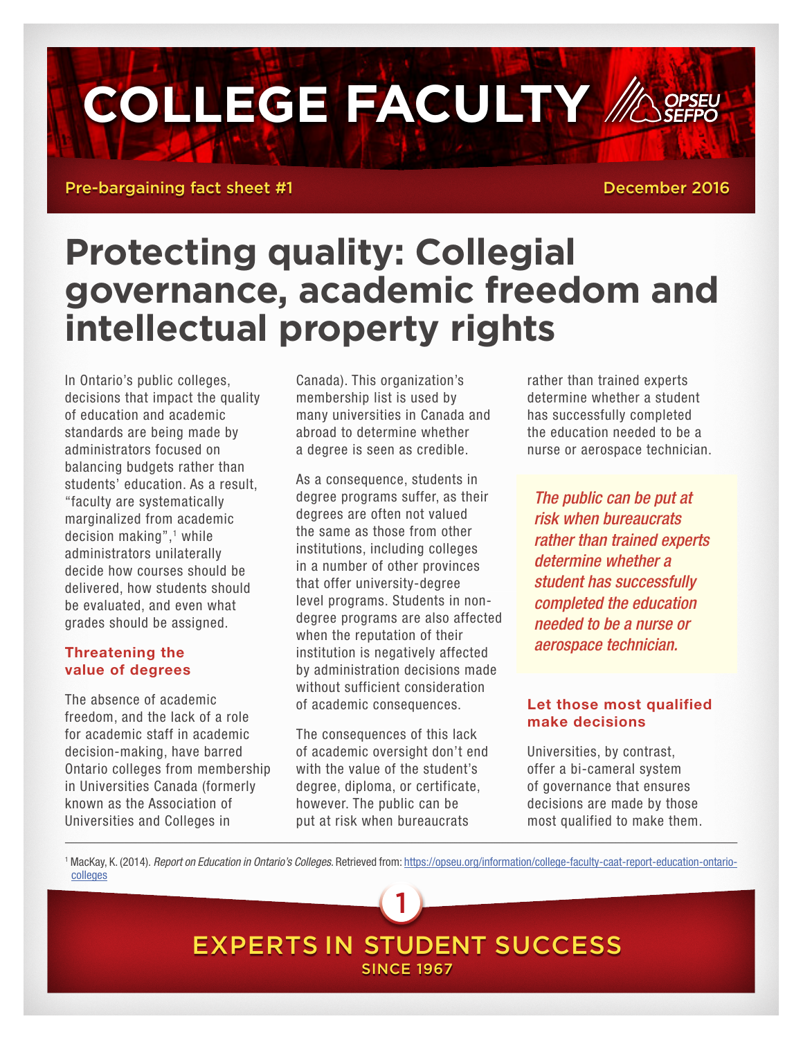# **COLLEGE FACULTY // A OPSEU**

Pre-bargaining fact sheet #1 December 2016

## **Protecting quality: Collegial governance, academic freedom and intellectual property rights**

In Ontario's public colleges, decisions that impact the quality of education and academic standards are being made by administrators focused on balancing budgets rather than students' education. As a result, "faculty are systematically marginalized from academic decision making",<sup>1</sup> while administrators unilaterally decide how courses should be delivered, how students should be evaluated, and even what grades should be assigned.

#### Threatening the value of degrees

The absence of academic freedom, and the lack of a role for academic staff in academic decision-making, have barred Ontario colleges from membership in Universities Canada (formerly known as the Association of Universities and Colleges in

Canada). This organization's membership list is used by many universities in Canada and abroad to determine whether a degree is seen as credible.

As a consequence, students in degree programs suffer, as their degrees are often not valued the same as those from other institutions, including colleges in a number of other provinces that offer university-degree level programs. Students in nondegree programs are also affected when the reputation of their institution is negatively affected by administration decisions made without sufficient consideration of academic consequences.

The consequences of this lack of academic oversight don't end with the value of the student's degree, diploma, or certificate, however. The public can be put at risk when bureaucrats

rather than trained experts determine whether a student has successfully completed the education needed to be a nurse or aerospace technician.

*The public can be put at risk when bureaucrats rather than trained experts determine whether a student has successfully completed the education needed to be a nurse or aerospace technician.*

#### Let those most qualified make decisions

Universities, by contrast, offer a bi-cameral system of governance that ensures decisions are made by those most qualified to make them.

1 MacKay, K. (2014). *Report on Education in Ontario's Colleges*. Retrieved from: [https://opseu.org/information/college-faculty-caat-report-education-ontario](https://opseu.org/information/college-faculty-caat-report-education-ontario-colleges)[colleges](https://opseu.org/information/college-faculty-caat-report-education-ontario-colleges)